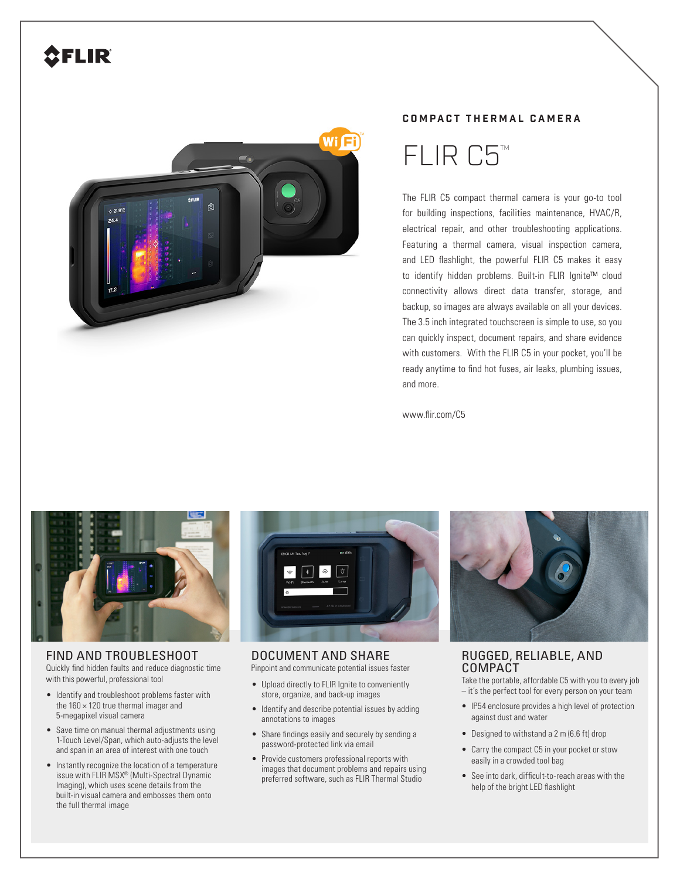# **SFLIR**



### **COMPACT THERMAL CAMERA**



The FLIR C5 compact thermal camera is your go-to tool for building inspections, facilities maintenance, HVAC/R, electrical repair, and other troubleshooting applications. Featuring a thermal camera, visual inspection camera, and LED flashlight, the powerful FLIR C5 makes it easy to identify hidden problems. Built-in FLIR Ignite™ cloud connectivity allows direct data transfer, storage, and backup, so images are always available on all your devices. The 3.5 inch integrated touchscreen is simple to use, so you can quickly inspect, document repairs, and share evidence with customers. With the FLIR C5 in your pocket, you'll be ready anytime to find hot fuses, air leaks, plumbing issues, and more.

www.flir.com/C5



FIND AND TROUBLESHOOT Quickly find hidden faults and reduce diagnostic time with this powerful, professional tool

- Identify and troubleshoot problems faster with the  $160 \times 120$  true thermal imager and 5-megapixel visual camera
- Save time on manual thermal adjustments using 1-Touch Level/Span, which auto-adjusts the level and span in an area of interest with one touch
- Instantly recognize the location of a temperature issue with FLIR MSX® (Multi-Spectral Dynamic Imaging), which uses scene details from the built-in visual camera and embosses them onto the full thermal image



DOCUMENT AND SHARE Pinpoint and communicate potential issues faster

- Upload directly to FLIR Ignite to conveniently store, organize, and back-up images
- Identify and describe potential issues by adding annotations to images
- Share findings easily and securely by sending a password-protected link via email
- Provide customers professional reports with images that document problems and repairs using preferred software, such as FLIR Thermal Studio



## RUGGED, RELIABLE, AND COMPACT

Take the portable, affordable C5 with you to every job – it's the perfect tool for every person on your team

- IP54 enclosure provides a high level of protection against dust and water
- Designed to withstand a 2 m (6.6 ft) drop
- Carry the compact C5 in your pocket or stow easily in a crowded tool bag
- See into dark, difficult-to-reach areas with the help of the bright LED flashlight